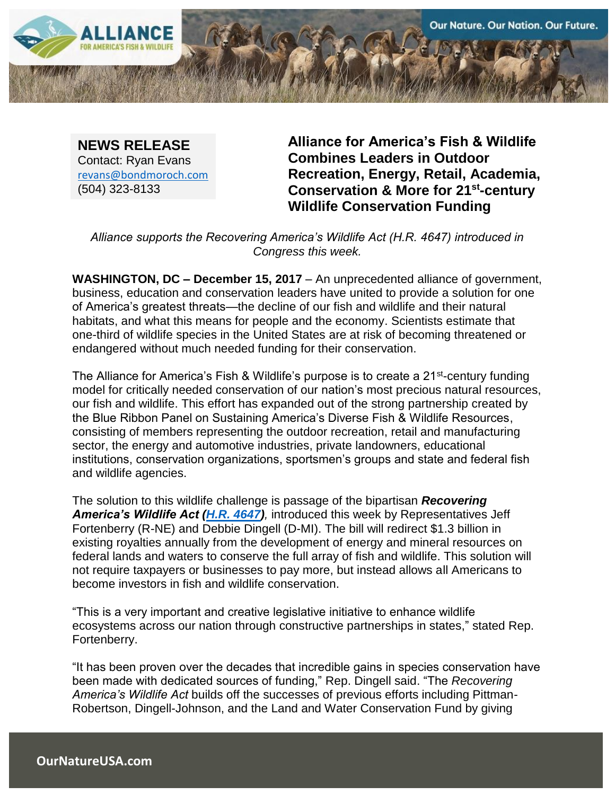

**NEWS RELEASE** Contact: Ryan Evans [revans@bondmoroch.com](mailto:revans@bondmoroch.com) (504) 323-8133

**Alliance for America's Fish & Wildlife Combines Leaders in Outdoor Recreation, Energy, Retail, Academia, Conservation & More for 21st-century Wildlife Conservation Funding** 

*Alliance supports the Recovering America's Wildlife Act (H.R. 4647) introduced in Congress this week.*

**WASHINGTON, DC – December 15, 2017** – An unprecedented alliance of government, business, education and conservation leaders have united to provide a solution for one of America's greatest threats—the decline of our fish and wildlife and their natural habitats, and what this means for people and the economy. Scientists estimate that one-third of wildlife species in the United States are at risk of becoming threatened or endangered without much needed funding for their conservation.

The Alliance for America's Fish & Wildlife's purpose is to create a 21<sup>st</sup>-century funding model for critically needed conservation of our nation's most precious natural resources, our fish and wildlife. This effort has expanded out of the strong partnership created by the Blue Ribbon Panel on Sustaining America's Diverse Fish & Wildlife Resources, consisting of members representing the outdoor recreation, retail and manufacturing sector, the energy and automotive industries, private landowners, educational institutions, conservation organizations, sportsmen's groups and state and federal fish and wildlife agencies.

The solution to this wildlife challenge is passage of the bipartisan *Recovering America's Wildlife Act [\(H.R. 4647\)](https://www.congress.gov/bill/115th-congress/house-bill/4647?q=%7B%22search%22%3A%5B%22H.R.+4647%22%5D%7D&r=1),* introduced this week by Representatives Jeff Fortenberry (R-NE) and Debbie Dingell (D-MI). The bill will redirect \$1.3 billion in existing royalties annually from the development of energy and mineral resources on federal lands and waters to conserve the full array of fish and wildlife. This solution will not require taxpayers or businesses to pay more, but instead allows all Americans to become investors in fish and wildlife conservation.

"This is a very important and creative legislative initiative to enhance wildlife ecosystems across our nation through constructive partnerships in states," stated Rep. Fortenberry.

"It has been proven over the decades that incredible gains in species conservation have been made with dedicated sources of funding," Rep. Dingell said. "The *Recovering America's Wildlife Act* builds off the successes of previous efforts including Pittman-Robertson, Dingell-Johnson, and the Land and Water Conservation Fund by giving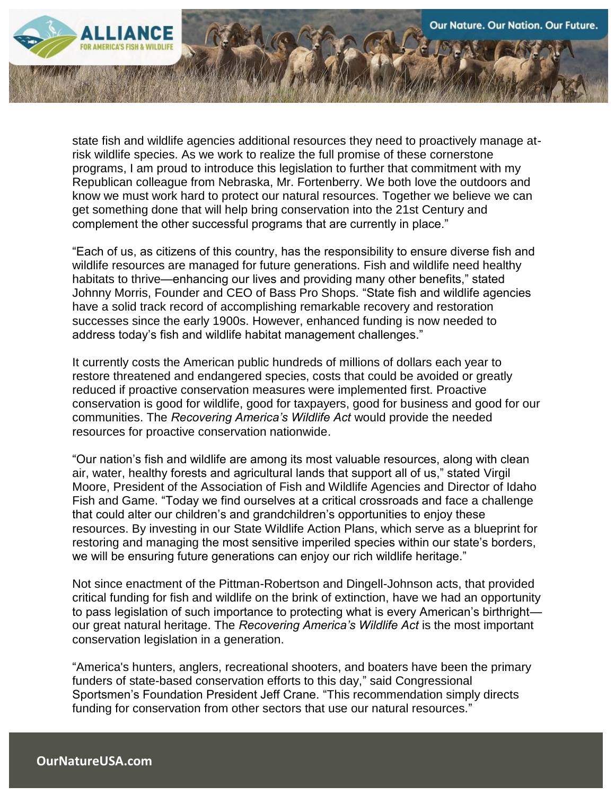

state fish and wildlife agencies additional resources they need to proactively manage atrisk wildlife species. As we work to realize the full promise of these cornerstone programs, I am proud to introduce this legislation to further that commitment with my Republican colleague from Nebraska, Mr. Fortenberry. We both love the outdoors and know we must work hard to protect our natural resources. Together we believe we can get something done that will help bring conservation into the 21st Century and complement the other successful programs that are currently in place."

"Each of us, as citizens of this country, has the responsibility to ensure diverse fish and wildlife resources are managed for future generations. Fish and wildlife need healthy habitats to thrive—enhancing our lives and providing many other benefits," stated Johnny Morris, Founder and CEO of Bass Pro Shops. "State fish and wildlife agencies have a solid track record of accomplishing remarkable recovery and restoration successes since the early 1900s. However, enhanced funding is now needed to address today's fish and wildlife habitat management challenges."

It currently costs the American public hundreds of millions of dollars each year to restore threatened and endangered species, costs that could be avoided or greatly reduced if proactive conservation measures were implemented first. Proactive conservation is good for wildlife, good for taxpayers, good for business and good for our communities. The *Recovering America's Wildlife Act* would provide the needed resources for proactive conservation nationwide.

"Our nation's fish and wildlife are among its most valuable resources, along with clean air, water, healthy forests and agricultural lands that support all of us," stated Virgil Moore, President of the Association of Fish and Wildlife Agencies and Director of Idaho Fish and Game. "Today we find ourselves at a critical crossroads and face a challenge that could alter our children's and grandchildren's opportunities to enjoy these resources. By investing in our State Wildlife Action Plans, which serve as a blueprint for restoring and managing the most sensitive imperiled species within our state's borders, we will be ensuring future generations can enjoy our rich wildlife heritage."

Not since enactment of the Pittman-Robertson and Dingell-Johnson acts, that provided critical funding for fish and wildlife on the brink of extinction, have we had an opportunity to pass legislation of such importance to protecting what is every American's birthright our great natural heritage. The *Recovering America's Wildlife Act* is the most important conservation legislation in a generation.

"America's hunters, anglers, recreational shooters, and boaters have been the primary funders of state-based conservation efforts to this day," said Congressional Sportsmen's Foundation President Jeff Crane. "This recommendation simply directs funding for conservation from other sectors that use our natural resources."